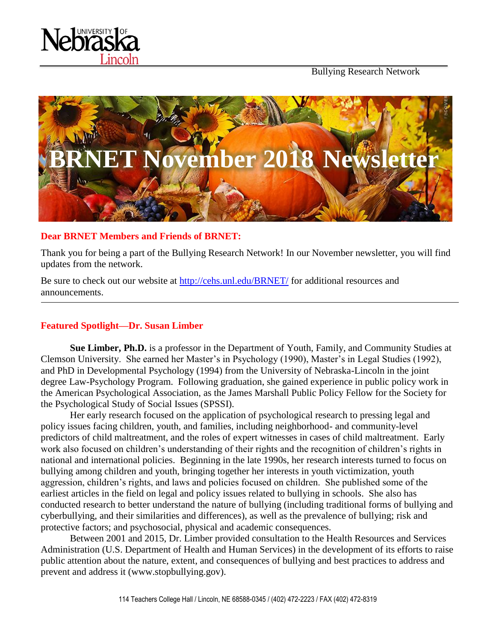

Bullying Research Network



#### **Dear BRNET Members and Friends of BRNET:**

Thank you for being a part of the Bullying Research Network! In our November newsletter, you will find updates from the network.

Be sure to check out our website at<http://cehs.unl.edu/BRNET/> for additional resources and announcements.

# **Featured Spotlight—Dr. Susan Limber**

**Sue Limber, Ph.D.** is a professor in the Department of Youth, Family, and Community Studies at Clemson University. She earned her Master's in Psychology (1990), Master's in Legal Studies (1992), and PhD in Developmental Psychology (1994) from the University of Nebraska-Lincoln in the joint degree Law-Psychology Program. Following graduation, she gained experience in public policy work in the American Psychological Association, as the James Marshall Public Policy Fellow for the Society for the Psychological Study of Social Issues (SPSSI).

Her early research focused on the application of psychological research to pressing legal and policy issues facing children, youth, and families, including neighborhood- and community-level predictors of child maltreatment, and the roles of expert witnesses in cases of child maltreatment. Early work also focused on children's understanding of their rights and the recognition of children's rights in national and international policies. Beginning in the late 1990s, her research interests turned to focus on bullying among children and youth, bringing together her interests in youth victimization, youth aggression, children's rights, and laws and policies focused on children. She published some of the earliest articles in the field on legal and policy issues related to bullying in schools. She also has conducted research to better understand the nature of bullying (including traditional forms of bullying and cyberbullying, and their similarities and differences), as well as the prevalence of bullying; risk and protective factors; and psychosocial, physical and academic consequences.

Between 2001 and 2015, Dr. Limber provided consultation to the Health Resources and Services Administration (U.S. Department of Health and Human Services) in the development of its efforts to raise public attention about the nature, extent, and consequences of bullying and best practices to address and prevent and address it (www.stopbullying.gov).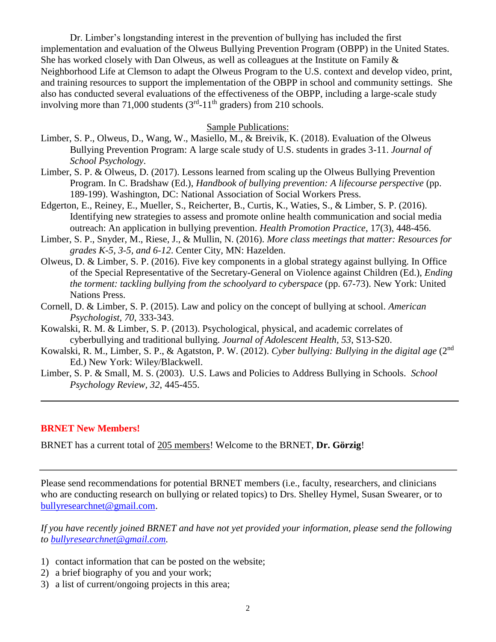Dr. Limber's longstanding interest in the prevention of bullying has included the first implementation and evaluation of the Olweus Bullying Prevention Program (OBPP) in the United States. She has worked closely with Dan Olweus, as well as colleagues at the Institute on Family  $\&$ Neighborhood Life at Clemson to adapt the Olweus Program to the U.S. context and develop video, print, and training resources to support the implementation of the OBPP in school and community settings. She also has conducted several evaluations of the effectiveness of the OBPP, including a large-scale study involving more than 71,000 students  $(3<sup>rd</sup> - 11<sup>th</sup>$  graders) from 210 schools.

#### Sample Publications:

- Limber, S. P., Olweus, D., Wang, W., Masiello, M., & Breivik, K. (2018). Evaluation of the Olweus Bullying Prevention Program: A large scale study of U.S. students in grades 3-11. *Journal of School Psychology*.
- Limber, S. P. & Olweus, D. (2017). Lessons learned from scaling up the Olweus Bullying Prevention Program. In C. Bradshaw (Ed.), *Handbook of bullying prevention: A lifecourse perspective* (pp. 189-199). Washington, DC: National Association of Social Workers Press.
- Edgerton, E., Reiney, E., Mueller, S., Reicherter, B., Curtis, K., Waties, S., & Limber, S. P. (2016). Identifying new strategies to assess and promote online health communication and social media outreach: An application in bullying prevention. *Health Promotion Practice,* 17(3), 448-456.
- Limber, S. P., Snyder, M., Riese, J., & Mullin, N. (2016). *More class meetings that matter: Resources for grades K-5, 3-5, and 6-12*. Center City, MN: Hazelden.
- Olweus, D. & Limber, S. P. (2016). Five key components in a global strategy against bullying. In Office of the Special Representative of the Secretary-General on Violence against Children (Ed.), *Ending the torment: tackling bullying from the schoolyard to cyberspace* (pp. 67-73). New York: United Nations Press.
- Cornell, D. & Limber, S. P. (2015). Law and policy on the concept of bullying at school. *American Psychologist, 70*, 333-343.
- Kowalski, R. M. & Limber, S. P. (2013). Psychological, physical, and academic correlates of cyberbullying and traditional bullying. *Journal of Adolescent Health, 53*, S13-S20.
- Kowalski, R. M., Limber, S. P., & Agatston, P. W. (2012). *Cyber bullying: Bullying in the digital age* (2nd Ed.) New York: Wiley/Blackwell.
- Limber, S. P. & Small, M. S. (2003). U.S. Laws and Policies to Address Bullying in Schools. *School Psychology Review, 32*, 445-455.

#### **BRNET New Members!**

BRNET has a current total of 205 members! Welcome to the BRNET, **Dr. Görzig**!

Please send recommendations for potential BRNET members (i.e., faculty, researchers, and clinicians who are conducting research on bullying or related topics) to Drs. Shelley Hymel, Susan Swearer, or to [bullyresearchnet@gmail.com.](mailto:bullyresearchnet@gmail.com)

*If you have recently joined BRNET and have not yet provided your information, please send the following to [bullyresearchnet@gmail.com.](mailto:bullyresearchnet@gmail.com)*

- 1) contact information that can be posted on the website;
- 2) a brief biography of you and your work;
- 3) a list of current/ongoing projects in this area;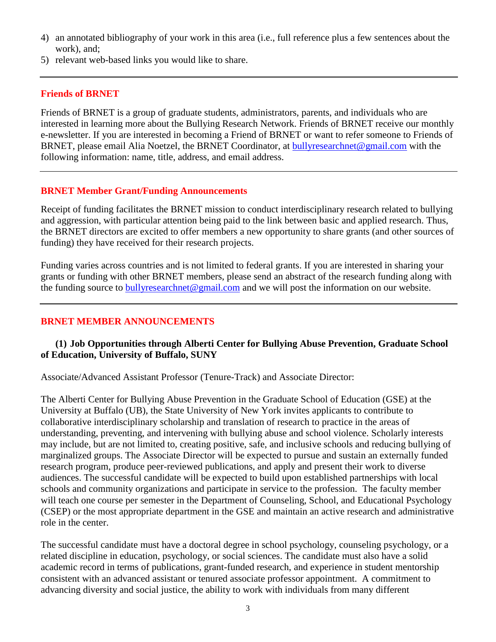- 4) an annotated bibliography of your work in this area (i.e., full reference plus a few sentences about the work), and;
- 5) relevant web-based links you would like to share.

# **Friends of BRNET**

Friends of BRNET is a group of graduate students, administrators, parents, and individuals who are interested in learning more about the Bullying Research Network. Friends of BRNET receive our monthly e-newsletter. If you are interested in becoming a Friend of BRNET or want to refer someone to Friends of BRNET, please email Alia Noetzel, the BRNET Coordinator, at [bullyresearchnet@gmail.com](mailto:bullyresearchnet@gmail.com) with the following information: name, title, address, and email address.

## **BRNET Member Grant/Funding Announcements**

Receipt of funding facilitates the BRNET mission to conduct interdisciplinary research related to bullying and aggression, with particular attention being paid to the link between basic and applied research. Thus, the BRNET directors are excited to offer members a new opportunity to share grants (and other sources of funding) they have received for their research projects.

Funding varies across countries and is not limited to federal grants. If you are interested in sharing your grants or funding with other BRNET members, please send an abstract of the research funding along with the funding source to [bullyresearchnet@gmail.com](mailto:bullyresearchnet@gmail.com) and we will post the information on our website.

## **BRNET MEMBER ANNOUNCEMENTS**

### **(1) Job Opportunities through Alberti Center for Bullying Abuse Prevention, Graduate School of Education, University of Buffalo, SUNY**

Associate/Advanced Assistant Professor (Tenure-Track) and Associate Director:

The Alberti Center for Bullying Abuse Prevention in the Graduate School of Education (GSE) at the University at Buffalo (UB), the State University of New York invites applicants to contribute to collaborative interdisciplinary scholarship and translation of research to practice in the areas of understanding, preventing, and intervening with bullying abuse and school violence. Scholarly interests may include, but are not limited to, creating positive, safe, and inclusive schools and reducing bullying of marginalized groups. The Associate Director will be expected to pursue and sustain an externally funded research program, produce peer-reviewed publications, and apply and present their work to diverse audiences. The successful candidate will be expected to build upon established partnerships with local schools and community organizations and participate in service to the profession. The faculty member will teach one course per semester in the Department of Counseling, School, and Educational Psychology (CSEP) or the most appropriate department in the GSE and maintain an active research and administrative role in the center.

The successful candidate must have a doctoral degree in school psychology, counseling psychology, or a related discipline in education, psychology, or social sciences. The candidate must also have a solid academic record in terms of publications, grant-funded research, and experience in student mentorship consistent with an advanced assistant or tenured associate professor appointment. A commitment to advancing diversity and social justice, the ability to work with individuals from many different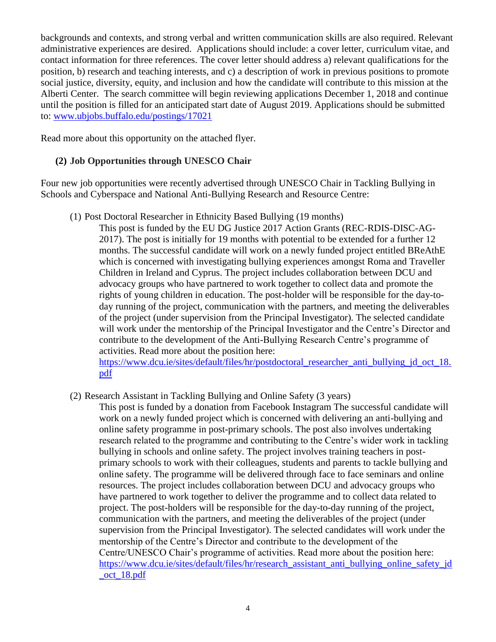backgrounds and contexts, and strong verbal and written communication skills are also required. Relevant administrative experiences are desired. Applications should include: a cover letter, curriculum vitae, and contact information for three references. The cover letter should address a) relevant qualifications for the position, b) research and teaching interests, and c) a description of work in previous positions to promote social justice, diversity, equity, and inclusion and how the candidate will contribute to this mission at the Alberti Center. The search committee will begin reviewing applications December 1, 2018 and continue until the position is filled for an anticipated start date of August 2019. Applications should be submitted to: [www.ubjobs.buffalo.edu/postings/17021](http://www.ubjobs.buffalo.edu/postings/17021)

Read more about this opportunity on the attached flyer.

# **(2) Job Opportunities through UNESCO Chair**

Four new job opportunities were recently advertised through UNESCO Chair in Tackling Bullying in Schools and Cyberspace and National Anti-Bullying Research and Resource Centre:

(1) Post Doctoral Researcher in Ethnicity Based Bullying (19 months)

This post is funded by the EU DG Justice 2017 Action Grants (REC-RDIS-DISC-AG-2017). The post is initially for 19 months with potential to be extended for a further 12 months. The successful candidate will work on a newly funded project entitled BReAthE which is concerned with investigating bullying experiences amongst Roma and Traveller Children in Ireland and Cyprus. The project includes collaboration between DCU and advocacy groups who have partnered to work together to collect data and promote the rights of young children in education. The post-holder will be responsible for the day-today running of the project, communication with the partners, and meeting the deliverables of the project (under supervision from the Principal Investigator). The selected candidate will work under the mentorship of the Principal Investigator and the Centre's Director and contribute to the development of the Anti-Bullying Research Centre's programme of activities. Read more about the position here:

https://www.dcu.ie/sites/default/files/hr/postdoctoral\_researcher\_anti\_bullying\_id\_oct\_18. [pdf](https://www.dcu.ie/sites/default/files/hr/postdoctoral_researcher_anti_bullying_jd_oct_18.pdf)

(2) Research Assistant in Tackling Bullying and Online Safety (3 years)

This post is funded by a donation from Facebook Instagram The successful candidate will work on a newly funded project which is concerned with delivering an anti-bullying and online safety programme in post-primary schools. The post also involves undertaking research related to the programme and contributing to the Centre's wider work in tackling bullying in schools and online safety. The project involves training teachers in postprimary schools to work with their colleagues, students and parents to tackle bullying and online safety. The programme will be delivered through face to face seminars and online resources. The project includes collaboration between DCU and advocacy groups who have partnered to work together to deliver the programme and to collect data related to project. The post-holders will be responsible for the day-to-day running of the project, communication with the partners, and meeting the deliverables of the project (under supervision from the Principal Investigator). The selected candidates will work under the mentorship of the Centre's Director and contribute to the development of the Centre/UNESCO Chair's programme of activities. Read more about the position here: [https://www.dcu.ie/sites/default/files/hr/research\\_assistant\\_anti\\_bullying\\_online\\_safety\\_jd](https://www.dcu.ie/sites/default/files/hr/research_assistant_anti_bullying_online_safety_jd_oct_18.pdf) [\\_oct\\_18.pdf](https://www.dcu.ie/sites/default/files/hr/research_assistant_anti_bullying_online_safety_jd_oct_18.pdf)